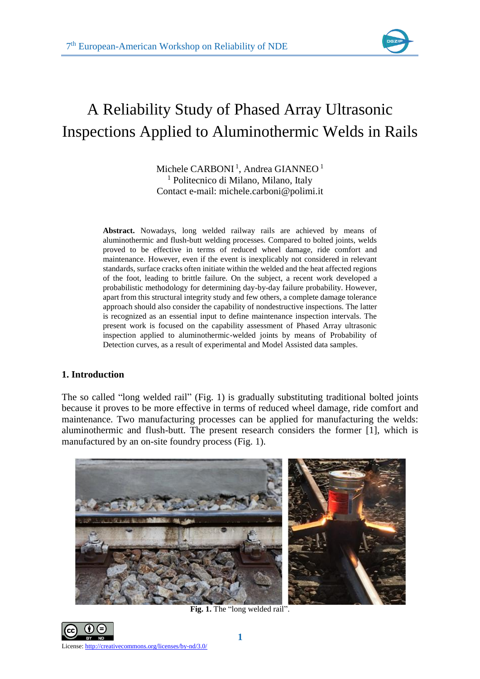

# A Reliability Study of Phased Array Ultrasonic Inspections Applied to Aluminothermic Welds in Rails

Michele  $\mathsf{CARBONI}\,{}^{1},$  Andrea GIANNEO  ${}^{1}$ <sup>1</sup> Politecnico di Milano, Milano, Italy Contact e-mail: michele.carboni@polimi.it

**Abstract.** Nowadays, long welded railway rails are achieved by means of aluminothermic and flush-butt welding processes. Compared to bolted joints, welds proved to be effective in terms of reduced wheel damage, ride comfort and maintenance. However, even if the event is inexplicably not considered in relevant standards, surface cracks often initiate within the welded and the heat affected regions of the foot, leading to brittle failure. On the subject, a recent work developed a probabilistic methodology for determining day-by-day failure probability. However, apart from this structural integrity study and few others, a complete damage tolerance approach should also consider the capability of nondestructive inspections. The latter is recognized as an essential input to define maintenance inspection intervals. The present work is focused on the capability assessment of Phased Array ultrasonic inspection applied to aluminothermic-welded joints by means of Probability of Detection curves, as a result of experimental and Model Assisted data samples.

# **1. Introduction**

The so called "long welded rail" (Fig. 1) is gradually substituting traditional bolted joints because it proves to be more effective in terms of reduced wheel damage, ride comfort and maintenance. Two manufacturing processes can be applied for manufacturing the welds: aluminothermic and flush-butt. The present research considers the former [\[1\],](#page-6-0) which is manufactured by an on-site foundry process (Fig. 1).



**Fig. 1.** The "long welded rail".

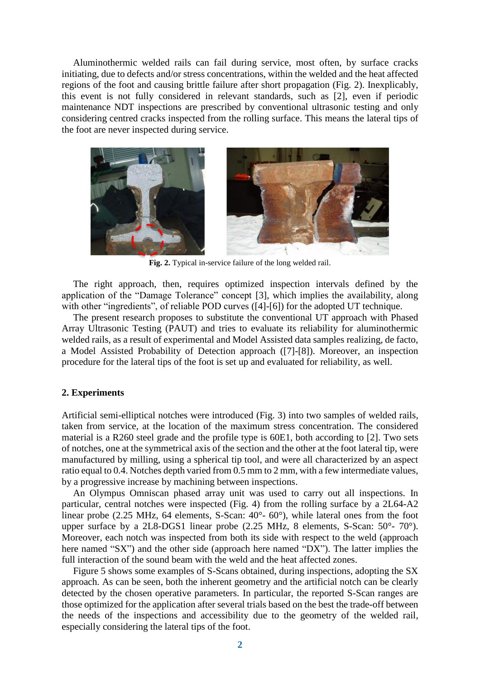Aluminothermic welded rails can fail during service, most often, by surface cracks initiating, due to defects and/or stress concentrations, within the welded and the heat affected regions of the foot and causing brittle failure after short propagation (Fig. 2). Inexplicably, this event is not fully considered in relevant standards, such as [\[2\],](#page-6-1) even if periodic maintenance NDT inspections are prescribed by conventional ultrasonic testing and only considering centred cracks inspected from the rolling surface. This means the lateral tips of the foot are never inspected during service.



**Fig. 2.** Typical in-service failure of the long welded rail.

The right approach, then, requires optimized inspection intervals defined by the application of the "Damage Tolerance" concept [\[3\],](#page-6-2) which implies the availability, along with other "ingredients", of reliable POD curves [\(\[4\]-](#page-6-3)[\[6\]\)](#page-6-4) for the adopted UT technique.

The present research proposes to substitute the conventional UT approach with Phased Array Ultrasonic Testing (PAUT) and tries to evaluate its reliability for aluminothermic welded rails, as a result of experimental and Model Assisted data samples realizing, de facto, a Model Assisted Probability of Detection approach [\(\[7\]](#page-6-5)[-\[8\]\)](#page-6-6). Moreover, an inspection procedure for the lateral tips of the foot is set up and evaluated for reliability, as well.

## **2. Experiments**

Artificial semi-elliptical notches were introduced (Fig. 3) into two samples of welded rails, taken from service, at the location of the maximum stress concentration. The considered material is a R260 steel grade and the profile type is 60E1, both according to [\[2\].](#page-6-1) Two sets of notches, one at the symmetrical axis of the section and the other at the foot lateral tip, were manufactured by milling, using a spherical tip tool, and were all characterized by an aspect ratio equal to 0.4. Notches depth varied from 0.5 mm to 2 mm, with a few intermediate values, by a progressive increase by machining between inspections.

An Olympus Omniscan phased array unit was used to carry out all inspections. In particular, central notches were inspected (Fig. 4) from the rolling surface by a 2L64-A2 linear probe (2.25 MHz, 64 elements, S-Scan: 40°- 60°), while lateral ones from the foot upper surface by a 2L8-DGS1 linear probe (2.25 MHz, 8 elements, S-Scan: 50°- 70°). Moreover, each notch was inspected from both its side with respect to the weld (approach here named "SX") and the other side (approach here named "DX"). The latter implies the full interaction of the sound beam with the weld and the heat affected zones.

Figure 5 shows some examples of S-Scans obtained, during inspections, adopting the SX approach. As can be seen, both the inherent geometry and the artificial notch can be clearly detected by the chosen operative parameters. In particular, the reported S-Scan ranges are those optimized for the application after several trials based on the best the trade-off between the needs of the inspections and accessibility due to the geometry of the welded rail, especially considering the lateral tips of the foot.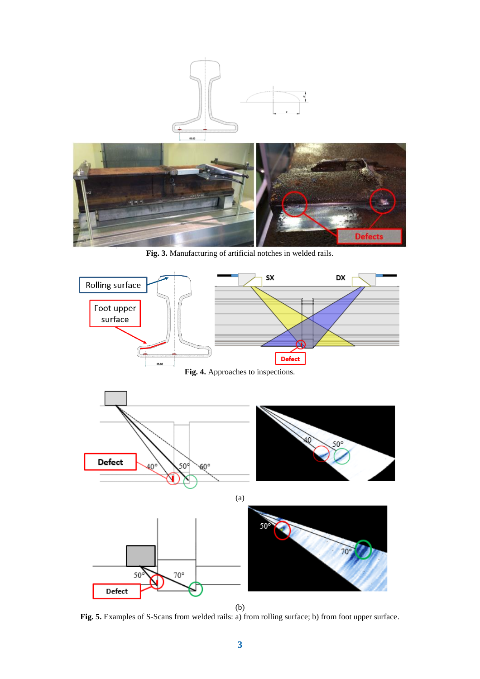

**Fig. 3.** Manufacturing of artificial notches in welded rails.



(b)

**Fig. 5.** Examples of S-Scans from welded rails: a) from rolling surface; b) from foot upper surface.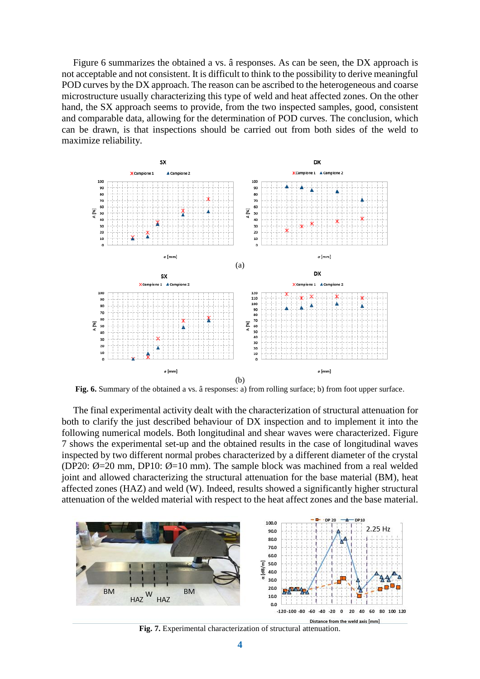Figure 6 summarizes the obtained a vs. â responses. As can be seen, the DX approach is not acceptable and not consistent. It is difficult to think to the possibility to derive meaningful POD curves by the DX approach. The reason can be ascribed to the heterogeneous and coarse microstructure usually characterizing this type of weld and heat affected zones. On the other hand, the SX approach seems to provide, from the two inspected samples, good, consistent and comparable data, allowing for the determination of POD curves. The conclusion, which can be drawn, is that inspections should be carried out from both sides of the weld to maximize reliability.



**Fig. 6.** Summary of the obtained a vs. â responses: a) from rolling surface; b) from foot upper surface.

The final experimental activity dealt with the characterization of structural attenuation for both to clarify the just described behaviour of DX inspection and to implement it into the following numerical models. Both longitudinal and shear waves were characterized. Figure 7 shows the experimental set-up and the obtained results in the case of longitudinal waves inspected by two different normal probes characterized by a different diameter of the crystal (DP20:  $\emptyset$ =20 mm, DP10:  $\emptyset$ =10 mm). The sample block was machined from a real welded joint and allowed characterizing the structural attenuation for the base material (BM), heat affected zones (HAZ) and weld (W). Indeed, results showed a significantly higher structural attenuation of the welded material with respect to the heat affect zones and the base material.



**Fig. 7.** Experimental characterization of structural attenuation.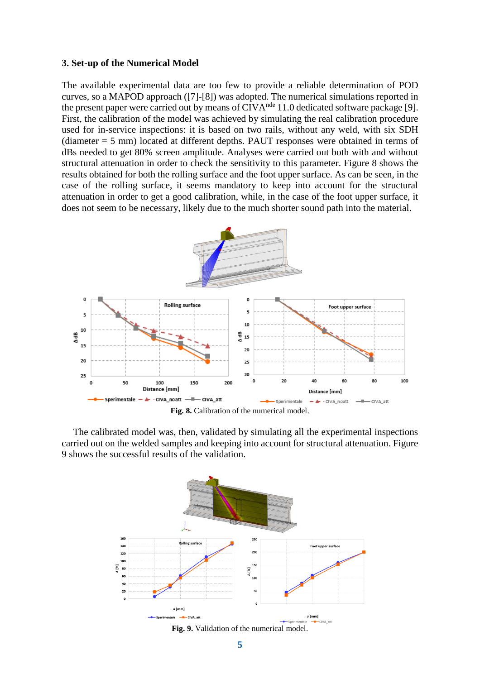## **3. Set-up of the Numerical Model**

The available experimental data are too few to provide a reliable determination of POD curves, so a MAPOD approach [\(\[7\]](#page-6-5)[-\[8\]\)](#page-6-6) was adopted. The numerical simulations reported in the present paper were carried out by means of  $CIVA<sup>nde</sup> 11.0$  dedicated software package [\[9\].](#page-6-7) First, the calibration of the model was achieved by simulating the real calibration procedure used for in-service inspections: it is based on two rails, without any weld, with six SDH (diameter = 5 mm) located at different depths. PAUT responses were obtained in terms of dBs needed to get 80% screen amplitude. Analyses were carried out both with and without structural attenuation in order to check the sensitivity to this parameter. Figure 8 shows the results obtained for both the rolling surface and the foot upper surface. As can be seen, in the case of the rolling surface, it seems mandatory to keep into account for the structural attenuation in order to get a good calibration, while, in the case of the foot upper surface, it does not seem to be necessary, likely due to the much shorter sound path into the material.



**Fig. 8.** Calibration of the numerical model.

The calibrated model was, then, validated by simulating all the experimental inspections carried out on the welded samples and keeping into account for structural attenuation. Figure 9 shows the successful results of the validation.



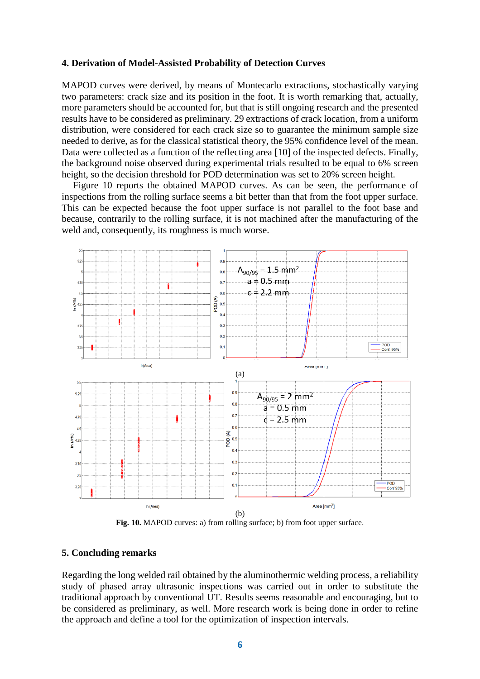#### **4. Derivation of Model-Assisted Probability of Detection Curves**

MAPOD curves were derived, by means of Montecarlo extractions, stochastically varying two parameters: crack size and its position in the foot. It is worth remarking that, actually, more parameters should be accounted for, but that is still ongoing research and the presented results have to be considered as preliminary. 29 extractions of crack location, from a uniform distribution, were considered for each crack size so to guarantee the minimum sample size needed to derive, as for the classical statistical theory, the 95% confidence level of the mean. Data were collected as a function of the reflecting area [\[10\]](#page-6-8) of the inspected defects. Finally, the background noise observed during experimental trials resulted to be equal to 6% screen height, so the decision threshold for POD determination was set to 20% screen height.

Figure 10 reports the obtained MAPOD curves. As can be seen, the performance of inspections from the rolling surface seems a bit better than that from the foot upper surface. This can be expected because the foot upper surface is not parallel to the foot base and because, contrarily to the rolling surface, it is not machined after the manufacturing of the weld and, consequently, its roughness is much worse.



**Fig. 10.** MAPOD curves: a) from rolling surface; b) from foot upper surface.

# **5. Concluding remarks**

Regarding the long welded rail obtained by the aluminothermic welding process, a reliability study of phased array ultrasonic inspections was carried out in order to substitute the traditional approach by conventional UT. Results seems reasonable and encouraging, but to be considered as preliminary, as well. More research work is being done in order to refine the approach and define a tool for the optimization of inspection intervals.